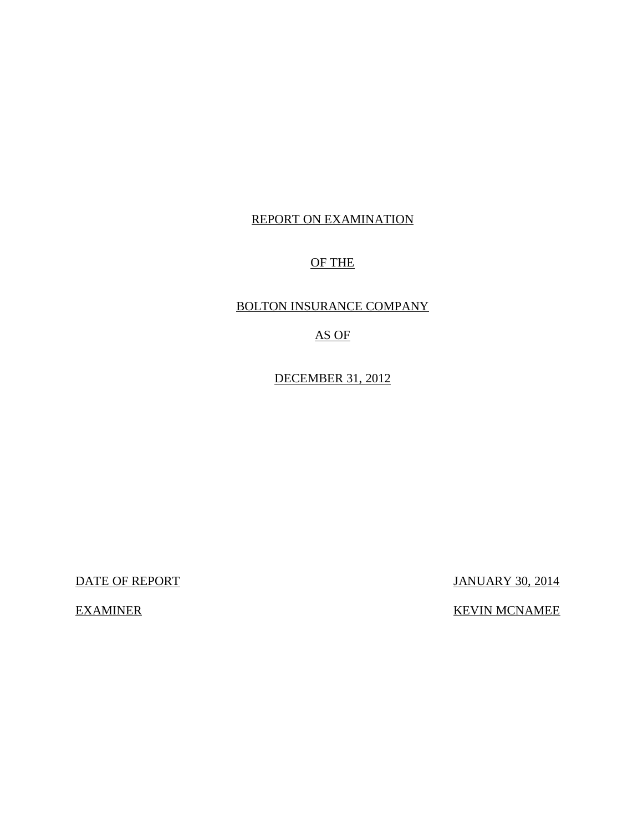## REPORT ON EXAMINATION

## OF THE

## BOLTON INSURANCE COMPANY

## AS OF

DECEMBER 31, 2012

DATE OF REPORT JANUARY 30, 2014

## EXAMINER KEVIN MCNAMEE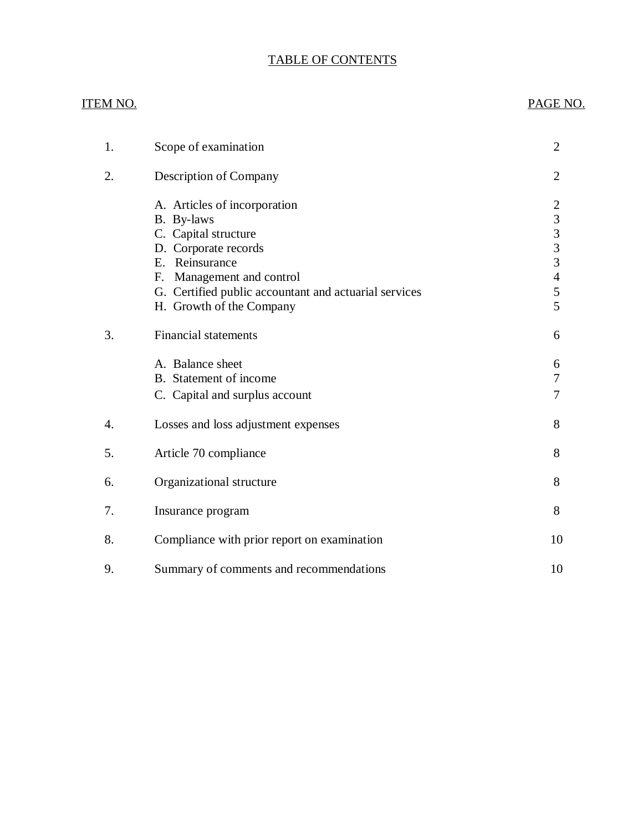## TABLE OF CONTENTS

## ITEM NO. PAGE NO.

| 1. | Scope of examination                                                                                                                                                                                                              | $\overline{2}$                                                                                  |
|----|-----------------------------------------------------------------------------------------------------------------------------------------------------------------------------------------------------------------------------------|-------------------------------------------------------------------------------------------------|
| 2. | Description of Company                                                                                                                                                                                                            | $\overline{2}$                                                                                  |
|    | A. Articles of incorporation<br>B. By-laws<br>C. Capital structure<br>D. Corporate records<br>E. Reinsurance<br>Management and control<br>F.<br>G. Certified public accountant and actuarial services<br>H. Growth of the Company | $\overline{c}$<br>$\overline{3}$<br>$\frac{3}{3}$<br>$\overline{3}$<br>$\overline{4}$<br>5<br>5 |
| 3. | <b>Financial statements</b>                                                                                                                                                                                                       | 6                                                                                               |
|    | A. Balance sheet<br>B. Statement of income<br>C. Capital and surplus account                                                                                                                                                      | 6<br>7<br>7                                                                                     |
| 4. | Losses and loss adjustment expenses                                                                                                                                                                                               | 8                                                                                               |
| 5. | Article 70 compliance                                                                                                                                                                                                             | 8                                                                                               |
| 6. | Organizational structure                                                                                                                                                                                                          | 8                                                                                               |
| 7. | Insurance program                                                                                                                                                                                                                 | 8                                                                                               |
| 8. | Compliance with prior report on examination                                                                                                                                                                                       | 10                                                                                              |
| 9. | Summary of comments and recommendations                                                                                                                                                                                           | 10                                                                                              |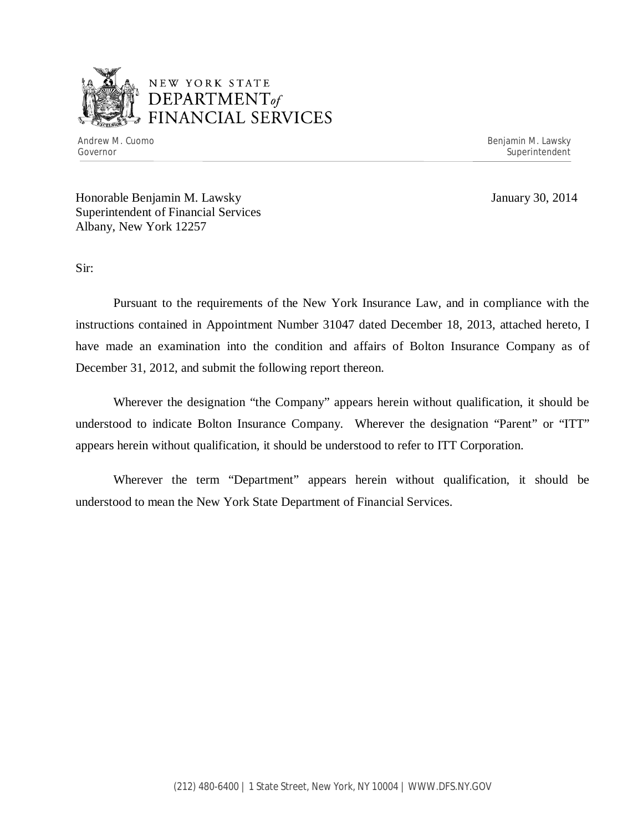

## NEW YORK STATE *DEPARTMENTof*  FINANCIAL SERVICES

Andrew M. Cuomo **Benjamin M. Lawsky** Governor Superintendent Superintendent Superintendent Superintendent Superintendent Superintendent Superintendent

Honorable Benjamin M. Lawsky January 30, 2014 Superintendent of Financial Services Albany, New York 12257

Sir:

Pursuant to the requirements of the New York Insurance Law, and in compliance with the instructions contained in Appointment Number 31047 dated December 18, 2013, attached hereto, I have made an examination into the condition and affairs of Bolton Insurance Company as of December 31, 2012, and submit the following report thereon.

Wherever the designation "the Company" appears herein without qualification, it should be understood to indicate Bolton Insurance Company. Wherever the designation "Parent" or "ITT" appears herein without qualification, it should be understood to refer to ITT Corporation.

Wherever the term "Department" appears herein without qualification, it should be understood to mean the New York State Department of Financial Services.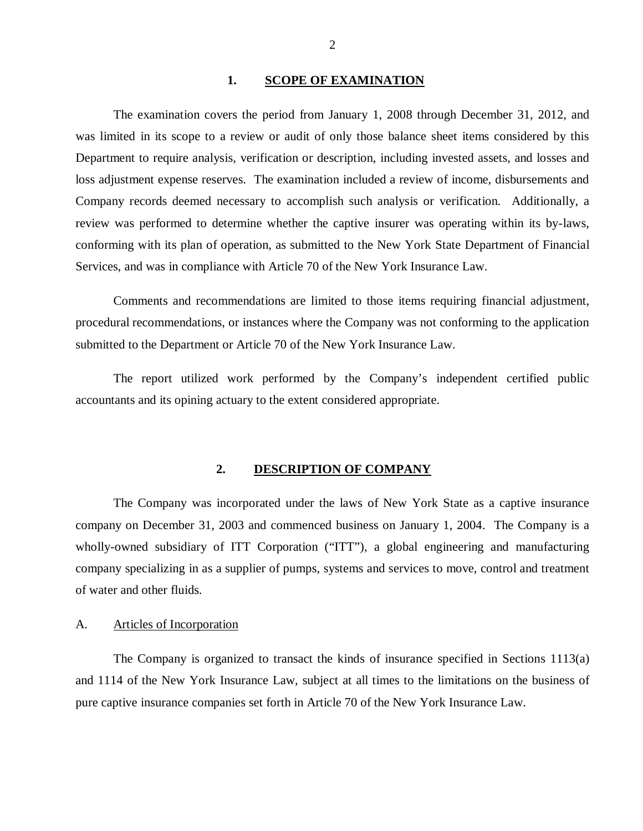#### 1. SCOPE OF EXAMINATION

<span id="page-3-0"></span>The examination covers the period from January 1, 2008 through December 31, 2012, and was limited in its scope to a review or audit of only those balance sheet items considered by this Department to require analysis, verification or description, including invested assets, and losses and loss adjustment expense reserves. The examination included a review of income, disbursements and Company records deemed necessary to accomplish such analysis or verification. Additionally, a review was performed to determine whether the captive insurer was operating within its by-laws, conforming with its plan of operation, as submitted to the New York State Department of Financial Services, and was in compliance with Article 70 of the New York Insurance Law.

Comments and recommendations are limited to those items requiring financial adjustment, procedural recommendations, or instances where the Company was not conforming to the application submitted to the Department or Article 70 of the New York Insurance Law.

The report utilized work performed by the Company's independent certified public accountants and its opining actuary to the extent considered appropriate.

#### **2. DESCRIPTION OF COMPANY**

The Company was incorporated under the laws of New York State as a captive insurance company on December 31, 2003 and commenced business on January 1, 2004. The Company is a wholly-owned subsidiary of ITT Corporation ("ITT"), a global engineering and manufacturing company specializing in as a supplier of pumps, systems and services to move, control and treatment of water and other fluids.

#### A. Articles of Incorporation

The Company is organized to transact the kinds of insurance specified in Sections 1113(a) and 1114 of the New York Insurance Law, subject at all times to the limitations on the business of pure captive insurance companies set forth in Article 70 of the New York Insurance Law.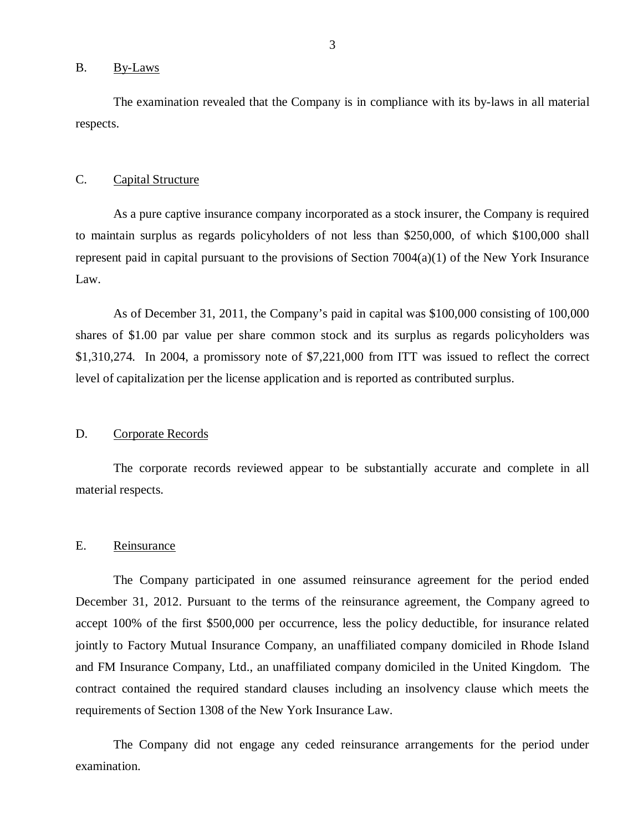#### <span id="page-4-0"></span>B. By-Laws

The examination revealed that the Company is in compliance with its by-laws in all material respects.

#### C. Capital Structure

As a pure captive insurance company incorporated as a stock insurer, the Company is required to maintain surplus as regards policyholders of not less than \$250,000, of which \$100,000 shall represent paid in capital pursuant to the provisions of Section  $7004(a)(1)$  of the New York Insurance Law.

As of December 31, 2011, the Company's paid in capital was \$100,000 consisting of 100,000 shares of \$1.00 par value per share common stock and its surplus as regards policyholders was \$1,310,274. In 2004, a promissory note of \$7,221,000 from ITT was issued to reflect the correct level of capitalization per the license application and is reported as contributed surplus.

#### D. Corporate Records

The corporate records reviewed appear to be substantially accurate and complete in all material respects.

#### E. Reinsurance

The Company participated in one assumed reinsurance agreement for the period ended December 31, 2012. Pursuant to the terms of the reinsurance agreement, the Company agreed to accept 100% of the first \$500,000 per occurrence, less the policy deductible, for insurance related jointly to Factory Mutual Insurance Company, an unaffiliated company domiciled in Rhode Island and FM Insurance Company, Ltd., an unaffiliated company domiciled in the United Kingdom. The contract contained the required standard clauses including an insolvency clause which meets the requirements of Section 1308 of the New York Insurance Law.

The Company did not engage any ceded reinsurance arrangements for the period under examination.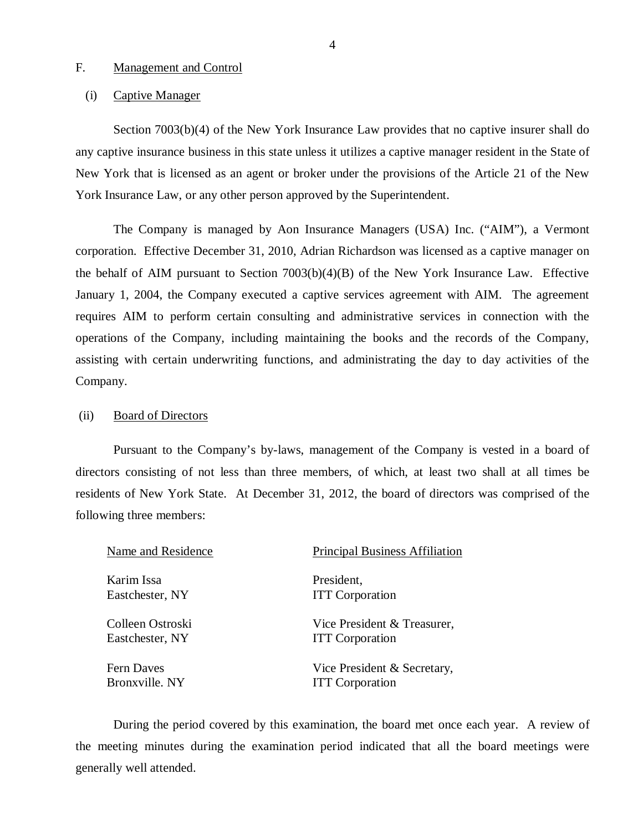#### <span id="page-5-0"></span>F. Management and Control

#### (i) Captive Manager

Section 7003(b)(4) of the New York Insurance Law provides that no captive insurer shall do any captive insurance business in this state unless it utilizes a captive manager resident in the State of New York that is licensed as an agent or broker under the provisions of the Article 21 of the New York Insurance Law, or any other person approved by the Superintendent.

The Company is managed by Aon Insurance Managers (USA) Inc. ("AIM"), a Vermont corporation. Effective December 31, 2010, Adrian Richardson was licensed as a captive manager on the behalf of AIM pursuant to Section 7003(b)(4)(B) of the New York Insurance Law. Effective January 1, 2004, the Company executed a captive services agreement with AIM. The agreement requires AIM to perform certain consulting and administrative services in connection with the operations of the Company, including maintaining the books and the records of the Company, assisting with certain underwriting functions, and administrating the day to day activities of the Company.

#### (ii) Board of Directors

Pursuant to the Company's by-laws, management of the Company is vested in a board of directors consisting of not less than three members, of which, at least two shall at all times be residents of New York State. At December 31, 2012, the board of directors was comprised of the following three members:

| Name and Residence | <b>Principal Business Affiliation</b> |
|--------------------|---------------------------------------|
| Karim Issa         | President,                            |
| Eastchester, NY    | <b>ITT</b> Corporation                |
| Colleen Ostroski   | Vice President & Treasurer,           |
| Eastchester, NY    | <b>ITT</b> Corporation                |
| <b>Fern Daves</b>  | Vice President & Secretary,           |
| Bronxville. NY     | <b>ITT</b> Corporation                |

During the period covered by this examination, the board met once each year. A review of the meeting minutes during the examination period indicated that all the board meetings were generally well attended.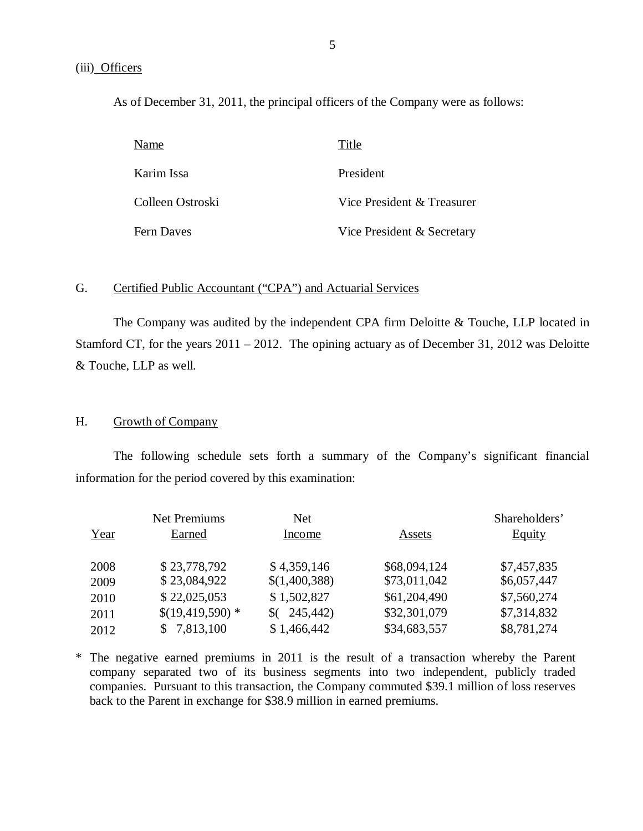<span id="page-6-0"></span>As of December 31, 2011, the principal officers of the Company were as follows:

| Name             | Title                      |
|------------------|----------------------------|
| Karim Issa       | President                  |
| Colleen Ostroski | Vice President & Treasurer |
| Fern Daves       | Vice President & Secretary |

#### G. Certified Public Accountant ("CPA") and Actuarial Services

The Company was audited by the independent CPA firm Deloitte & Touche, LLP located in Stamford CT, for the years 2011 – 2012. The opining actuary as of December 31, 2012 was Deloitte & Touche, LLP as well.

### H. Growth of Company

The following schedule sets forth a summary of the Company's significant financial information for the period covered by this examination:

|      | <b>Net Premiums</b> | Net           |              | Shareholders' |
|------|---------------------|---------------|--------------|---------------|
| Year | Earned              | Income        | Assets       | <b>Equity</b> |
| 2008 | \$23,778,792        | \$4,359,146   | \$68,094,124 | \$7,457,835   |
| 2009 | \$23,084,922        | \$(1,400,388) | \$73,011,042 | \$6,057,447   |
| 2010 | \$22,025,053        | \$1,502,827   | \$61,204,490 | \$7,560,274   |
| 2011 | $$(19,419,590)$ *   | 245,442)      | \$32,301,079 | \$7,314,832   |
| 2012 | \$7,813,100         | \$1,466,442   | \$34,683,557 | \$8,781,274   |

\* The negative earned premiums in 2011 is the result of a transaction whereby the Parent company separated two of its business segments into two independent, publicly traded companies. Pursuant to this transaction, the Company commuted \$39.1 million of loss reserves back to the Parent in exchange for \$38.9 million in earned premiums.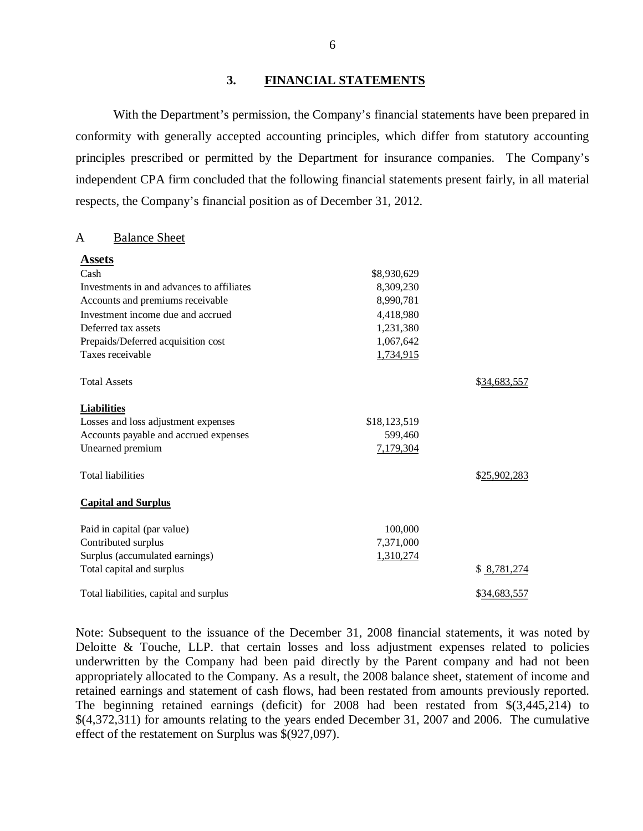#### **3. FINANCIAL STATEMENTS**

With the Department's permission, the Company's financial statements have been prepared in conformity with generally accepted accounting principles, which differ from statutory accounting principles prescribed or permitted by the Department for insurance companies. The Company's independent CPA firm concluded that the following financial statements present fairly, in all material respects, the Company's financial position as of December 31, 2012.

#### A Balance Sheet

| <b>Assets</b>                             |              |              |
|-------------------------------------------|--------------|--------------|
| Cash                                      | \$8,930,629  |              |
| Investments in and advances to affiliates | 8,309,230    |              |
| Accounts and premiums receivable          | 8,990,781    |              |
| Investment income due and accrued         | 4,418,980    |              |
| Deferred tax assets                       | 1,231,380    |              |
| Prepaids/Deferred acquisition cost        | 1,067,642    |              |
| Taxes receivable                          | 1,734,915    |              |
| <b>Total Assets</b>                       |              | \$34,683,557 |
| <b>Liabilities</b>                        |              |              |
| Losses and loss adjustment expenses       | \$18,123,519 |              |
| Accounts payable and accrued expenses     | 599,460      |              |
| Unearned premium                          | 7,179,304    |              |
| <b>Total liabilities</b>                  |              | \$25,902,283 |
| <b>Capital and Surplus</b>                |              |              |
| Paid in capital (par value)               | 100,000      |              |
| Contributed surplus                       | 7,371,000    |              |
| Surplus (accumulated earnings)            | 1,310,274    |              |
| Total capital and surplus                 |              | \$8,781,274  |
| Total liabilities, capital and surplus    |              | \$34,683,557 |

Note: Subsequent to the issuance of the December 31, 2008 financial statements, it was noted by Deloitte & Touche, LLP, that certain losses and loss adjustment expenses related to policies underwritten by the Company had been paid directly by the Parent company and had not been appropriately allocated to the Company. As a result, the 2008 balance sheet, statement of income and retained earnings and statement of cash flows, had been restated from amounts previously reported. The beginning retained earnings (deficit) for 2008 had been restated from \$(3,445,214) to \$(4,372,311) for amounts relating to the years ended December 31, 2007 and 2006. The cumulative effect of the restatement on Surplus was \$(927,097).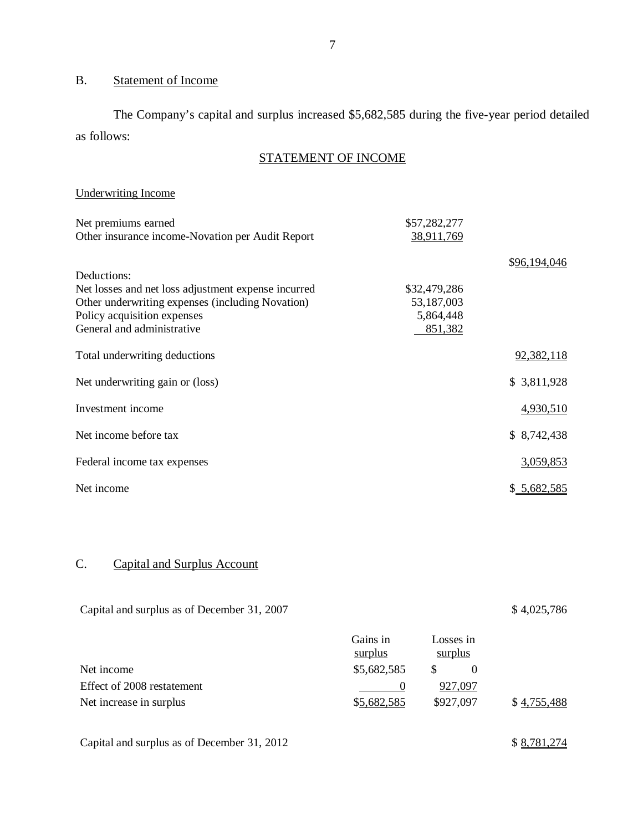## B. Statement of Income

The Company's capital and surplus increased \$5,682,585 during the five-year period detailed as follows:

## STATEMENT OF INCOME

## Underwriting Income

| Net premiums earned                                 | \$57,282,277 |              |
|-----------------------------------------------------|--------------|--------------|
| Other insurance income-Novation per Audit Report    | 38,911,769   |              |
|                                                     |              | \$96,194,046 |
| Deductions:                                         |              |              |
| Net losses and net loss adjustment expense incurred | \$32,479,286 |              |
| Other underwriting expenses (including Novation)    | 53,187,003   |              |
| Policy acquisition expenses                         | 5,864,448    |              |
| General and administrative                          | 851,382      |              |
| Total underwriting deductions                       |              | 92,382,118   |
| Net underwriting gain or (loss)                     |              | \$3,811,928  |
| Investment income                                   |              | 4,930,510    |
| Net income before tax                               |              | \$8,742,438  |
| Federal income tax expenses                         |              | 3,059,853    |
| Net income                                          |              | \$5,682,585  |

## C. Capital and Surplus Account

| Capital and surplus as of December 31, 2007 |                     |                      | \$4,025,786 |  |
|---------------------------------------------|---------------------|----------------------|-------------|--|
|                                             | Gains in<br>surplus | Losses in<br>surplus |             |  |
| Net income                                  | \$5,682,585         | S<br>$\overline{0}$  |             |  |
| Effect of 2008 restatement                  | $\theta$            | 927,097              |             |  |
| Net increase in surplus                     | \$5,682,585         | \$927,097            | \$4,755,488 |  |
| Capital and surplus as of December 31, 2012 |                     |                      | \$8,781,274 |  |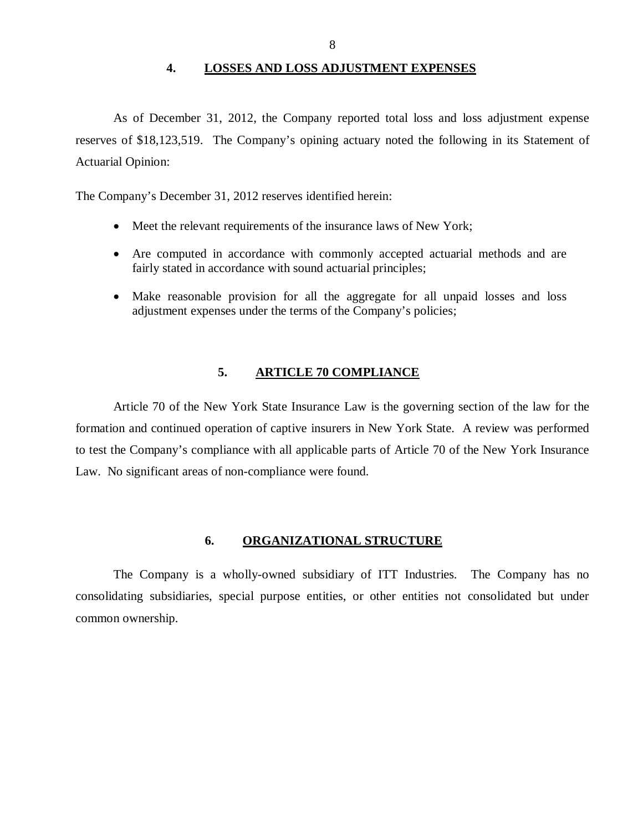#### **4. LOSSES AND LOSS ADJUSTMENT EXPENSES**

<span id="page-9-0"></span>As of December 31, 2012, the Company reported total loss and loss adjustment expense reserves of \$18,123,519. The Company's opining actuary noted the following in its Statement of Actuarial Opinion:

The Company's December 31, 2012 reserves identified herein:

- Meet the relevant requirements of the insurance laws of New York;
- Are computed in accordance with commonly accepted actuarial methods and are fairly stated in accordance with sound actuarial principles;
- Make reasonable provision for all the aggregate for all unpaid losses and loss adjustment expenses under the terms of the Company's policies;

#### **5. ARTICLE 70 COMPLIANCE**

Article 70 of the New York State Insurance Law is the governing section of the law for the formation and continued operation of captive insurers in New York State. A review was performed to test the Company's compliance with all applicable parts of Article 70 of the New York Insurance Law. No significant areas of non-compliance were found.

#### **6. ORGANIZATIONAL STRUCTURE**

The Company is a wholly-owned subsidiary of ITT Industries. The Company has no consolidating subsidiaries, special purpose entities, or other entities not consolidated but under common ownership.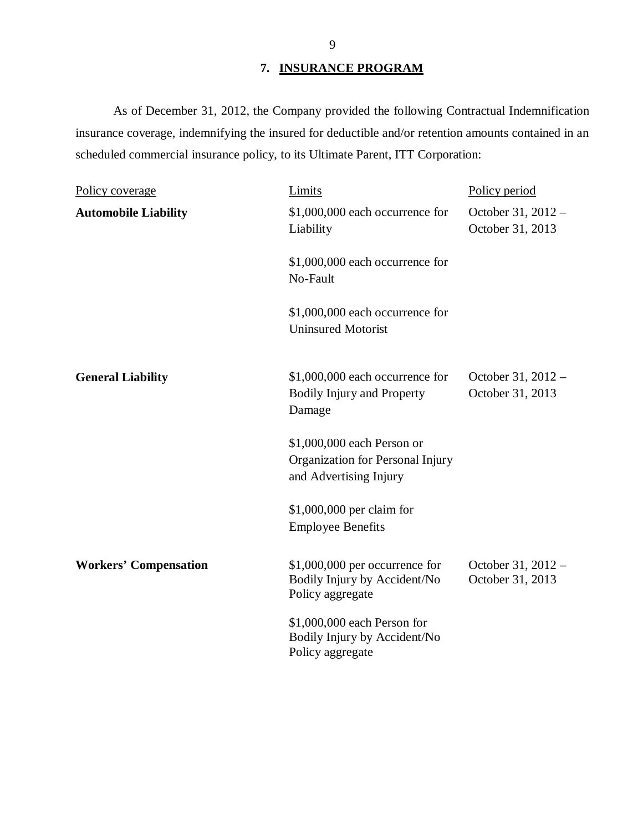## **7. INSURANCE PROGRAM**

As of December 31, 2012, the Company provided the following Contractual Indemnification insurance coverage, indemnifying the insured for deductible and/or retention amounts contained in an scheduled commercial insurance policy, to its Ultimate Parent, ITT Corporation:

| Policy coverage              | Limits                                                                                   | Policy period                          |
|------------------------------|------------------------------------------------------------------------------------------|----------------------------------------|
| <b>Automobile Liability</b>  | \$1,000,000 each occurrence for<br>Liability                                             | October 31, 2012 -<br>October 31, 2013 |
|                              | \$1,000,000 each occurrence for<br>No-Fault                                              |                                        |
|                              | \$1,000,000 each occurrence for<br><b>Uninsured Motorist</b>                             |                                        |
| <b>General Liability</b>     | \$1,000,000 each occurrence for<br><b>Bodily Injury and Property</b><br>Damage           | October 31, 2012 -<br>October 31, 2013 |
|                              | \$1,000,000 each Person or<br>Organization for Personal Injury<br>and Advertising Injury |                                        |
|                              | $$1,000,000$ per claim for<br><b>Employee Benefits</b>                                   |                                        |
| <b>Workers' Compensation</b> | $$1,000,000$ per occurrence for<br>Bodily Injury by Accident/No<br>Policy aggregate      | October 31, 2012 -<br>October 31, 2013 |
|                              | \$1,000,000 each Person for<br>Bodily Injury by Accident/No<br>Policy aggregate          |                                        |

9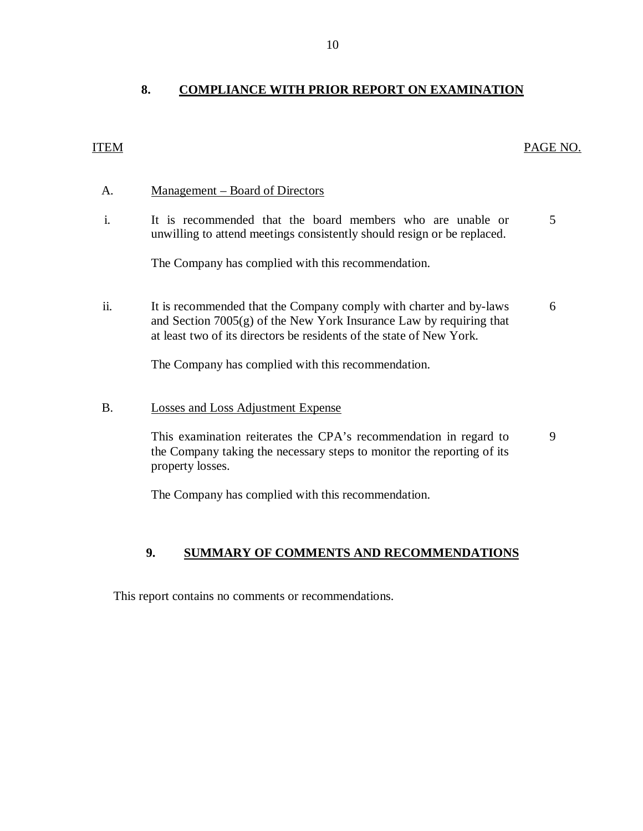## <span id="page-11-0"></span>ITEM PAGE NO.

### A. Management – Board of Directors

i. It is recommended that the board members who are unable or 5 unwilling to attend meetings consistently should resign or be replaced.

The Company has complied with this recommendation.

ii. It is recommended that the Company comply with charter and by-laws 6 and Section 7005(g) of the New York Insurance Law by requiring that at least two of its directors be residents of the state of New York.

The Company has complied with this recommendation.

B. Losses and Loss Adjustment Expense

This examination reiterates the CPA's recommendation in regard to 9 the Company taking the necessary steps to monitor the reporting of its property losses.

The Company has complied with this recommendation.

### **9. SUMMARY OF COMMENTS AND RECOMMENDATIONS**

This report contains no comments or recommendations.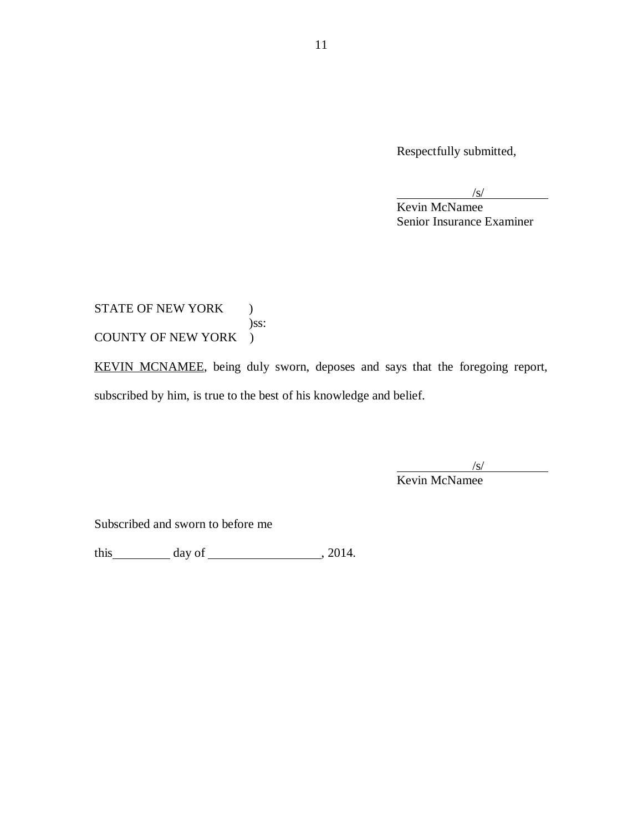Respectfully submitted,

 $/s/$ 

Kevin McNamee Senior Insurance Examiner

STATE OF NEW YORK ) )ss: COUNTY OF NEW YORK )

KEVIN MCNAMEE, being duly sworn, deposes and says that the foregoing report, subscribed by him, is true to the best of his knowledge and belief.

 $\frac{1}{\sqrt{S}}$ 

Kevin McNamee

Subscribed and sworn to before me

this day of , 2014.